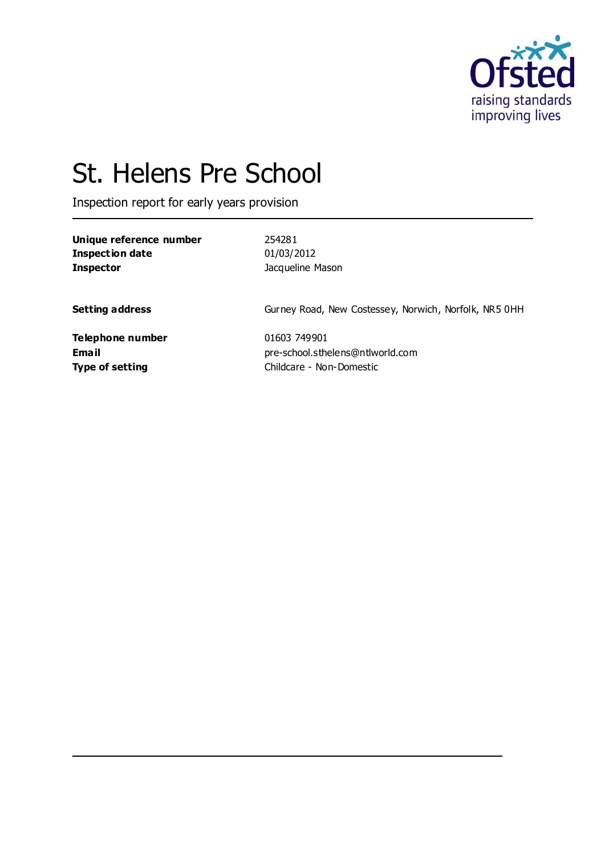

# St. Helens Pre School

Inspection report for early years provision

| Unique reference number | 254281                                                |
|-------------------------|-------------------------------------------------------|
| <b>Inspection date</b>  | 01/03/2012                                            |
| <b>Inspector</b>        | Jacqueline Mason                                      |
| <b>Setting address</b>  | Gurney Road, New Costessey, Norwich, Norfolk, NR5 0HH |
| <b>Telephone number</b> | 01603 749901                                          |
| Email                   | pre-school.sthelens@ntlworld.com                      |
| <b>Type of setting</b>  | Childcare - Non-Domestic                              |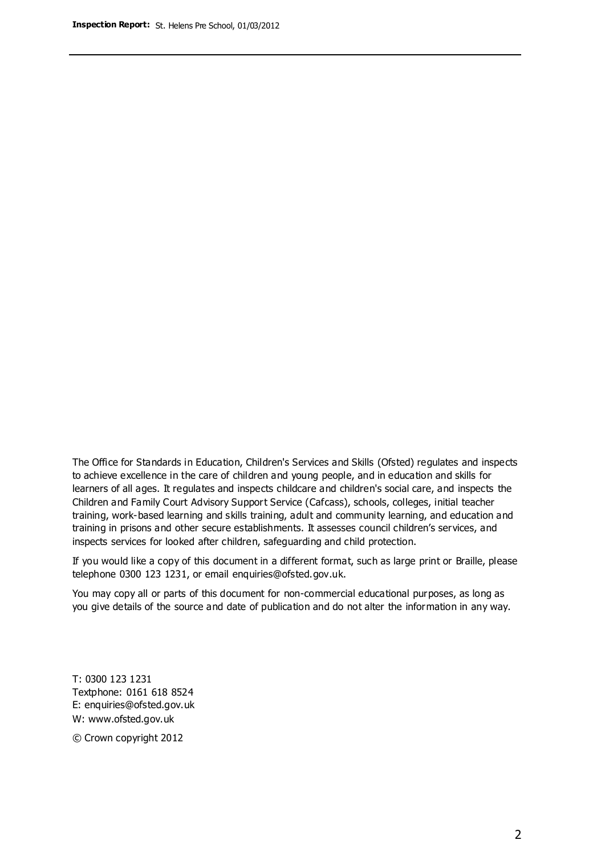The Office for Standards in Education, Children's Services and Skills (Ofsted) regulates and inspects to achieve excellence in the care of children and young people, and in education and skills for learners of all ages. It regulates and inspects childcare and children's social care, and inspects the Children and Family Court Advisory Support Service (Cafcass), schools, colleges, initial teacher training, work-based learning and skills training, adult and community learning, and education and training in prisons and other secure establishments. It assesses council children's services, and inspects services for looked after children, safeguarding and child protection.

If you would like a copy of this document in a different format, such as large print or Braille, please telephone 0300 123 1231, or email enquiries@ofsted.gov.uk.

You may copy all or parts of this document for non-commercial educational purposes, as long as you give details of the source and date of publication and do not alter the information in any way.

T: 0300 123 1231 Textphone: 0161 618 8524 E: enquiries@ofsted.gov.uk W: [www.ofsted.gov.uk](http://www.ofsted.gov.uk/)

© Crown copyright 2012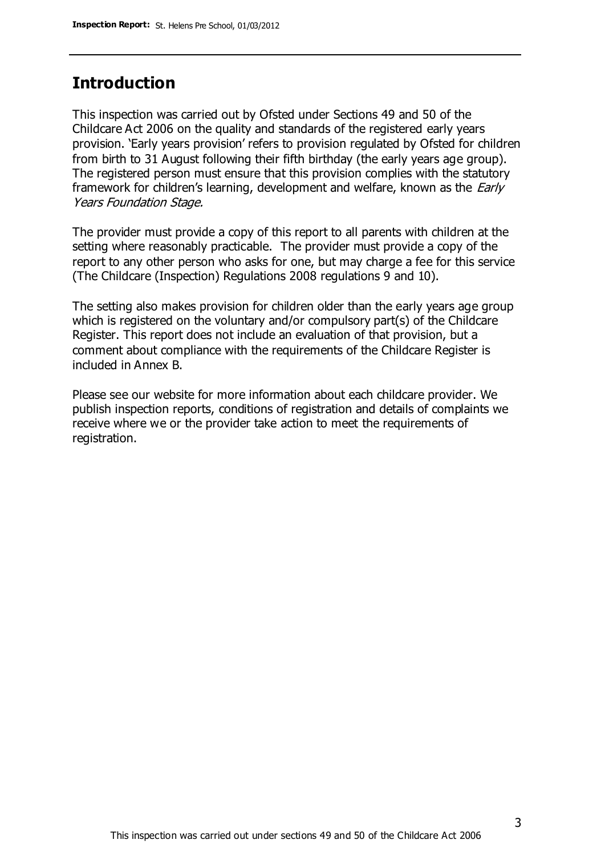## **Introduction**

This inspection was carried out by Ofsted under Sections 49 and 50 of the Childcare Act 2006 on the quality and standards of the registered early years provision. 'Early years provision' refers to provision regulated by Ofsted for children from birth to 31 August following their fifth birthday (the early years age group). The registered person must ensure that this provision complies with the statutory framework for children's learning, development and welfare, known as the *Early* Years Foundation Stage.

The provider must provide a copy of this report to all parents with children at the setting where reasonably practicable. The provider must provide a copy of the report to any other person who asks for one, but may charge a fee for this service (The Childcare (Inspection) Regulations 2008 regulations 9 and 10).

The setting also makes provision for children older than the early years age group which is registered on the voluntary and/or compulsory part(s) of the Childcare Register. This report does not include an evaluation of that provision, but a comment about compliance with the requirements of the Childcare Register is included in Annex B.

Please see our website for more information about each childcare provider. We publish inspection reports, conditions of registration and details of complaints we receive where we or the provider take action to meet the requirements of registration.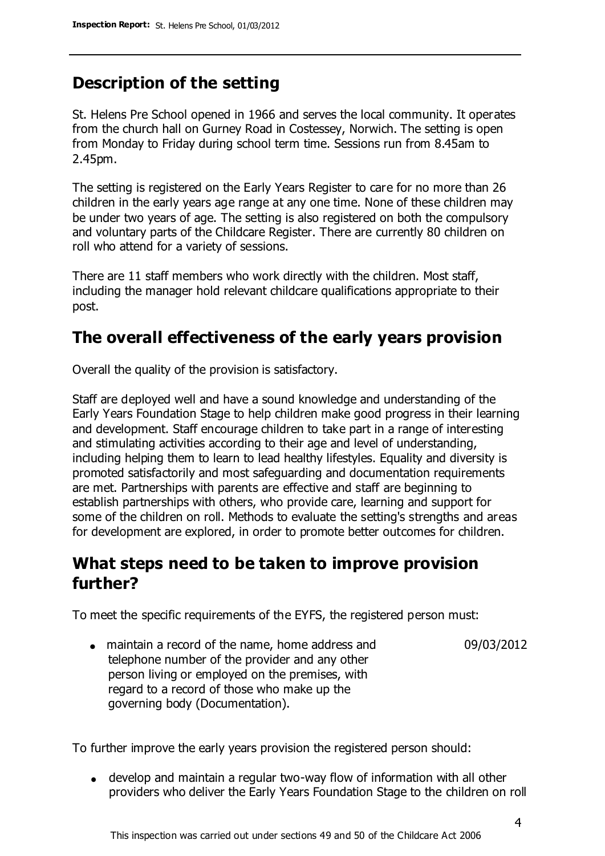# **Description of the setting**

St. Helens Pre School opened in 1966 and serves the local community. It operates from the church hall on Gurney Road in Costessey, Norwich. The setting is open from Monday to Friday during school term time. Sessions run from 8.45am to 2.45pm.

The setting is registered on the Early Years Register to care for no more than 26 children in the early years age range at any one time. None of these children may be under two years of age. The setting is also registered on both the compulsory and voluntary parts of the Childcare Register. There are currently 80 children on roll who attend for a variety of sessions.

There are 11 staff members who work directly with the children. Most staff, including the manager hold relevant childcare qualifications appropriate to their post.

## **The overall effectiveness of the early years provision**

Overall the quality of the provision is satisfactory.

Staff are deployed well and have a sound knowledge and understanding of the Early Years Foundation Stage to help children make good progress in their learning and development. Staff encourage children to take part in a range of interesting and stimulating activities according to their age and level of understanding, including helping them to learn to lead healthy lifestyles. Equality and diversity is promoted satisfactorily and most safeguarding and documentation requirements are met. Partnerships with parents are effective and staff are beginning to establish partnerships with others, who provide care, learning and support for some of the children on roll. Methods to evaluate the setting's strengths and areas for development are explored, in order to promote better outcomes for children.

# **What steps need to be taken to improve provision further?**

To meet the specific requirements of the EYFS, the registered person must:

maintain a record of the name, home address and telephone number of the provider and any other person living or employed on the premises, with regard to a record of those who make up the governing body (Documentation). 09/03/2012

To further improve the early years provision the registered person should:

develop and maintain a regular two-way flow of information with all other providers who deliver the Early Years Foundation Stage to the children on roll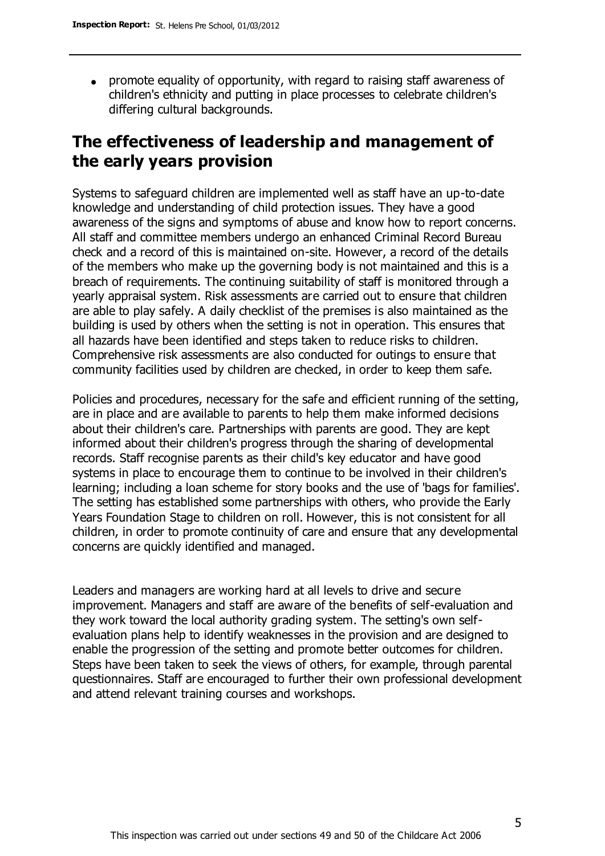promote equality of opportunity, with regard to raising staff awareness of children's ethnicity and putting in place processes to celebrate children's differing cultural backgrounds.

# **The effectiveness of leadership and management of the early years provision**

Systems to safeguard children are implemented well as staff have an up-to-date knowledge and understanding of child protection issues. They have a good awareness of the signs and symptoms of abuse and know how to report concerns. All staff and committee members undergo an enhanced Criminal Record Bureau check and a record of this is maintained on-site. However, a record of the details of the members who make up the governing body is not maintained and this is a breach of requirements. The continuing suitability of staff is monitored through a yearly appraisal system. Risk assessments are carried out to ensure that children are able to play safely. A daily checklist of the premises is also maintained as the building is used by others when the setting is not in operation. This ensures that all hazards have been identified and steps taken to reduce risks to children. Comprehensive risk assessments are also conducted for outings to ensure that community facilities used by children are checked, in order to keep them safe.

Policies and procedures, necessary for the safe and efficient running of the setting, are in place and are available to parents to help them make informed decisions about their children's care. Partnerships with parents are good. They are kept informed about their children's progress through the sharing of developmental records. Staff recognise parents as their child's key educator and have good systems in place to encourage them to continue to be involved in their children's learning; including a loan scheme for story books and the use of 'bags for families'. The setting has established some partnerships with others, who provide the Early Years Foundation Stage to children on roll. However, this is not consistent for all children, in order to promote continuity of care and ensure that any developmental concerns are quickly identified and managed.

Leaders and managers are working hard at all levels to drive and secure improvement. Managers and staff are aware of the benefits of self-evaluation and they work toward the local authority grading system. The setting's own selfevaluation plans help to identify weaknesses in the provision and are designed to enable the progression of the setting and promote better outcomes for children. Steps have been taken to seek the views of others, for example, through parental questionnaires. Staff are encouraged to further their own professional development and attend relevant training courses and workshops.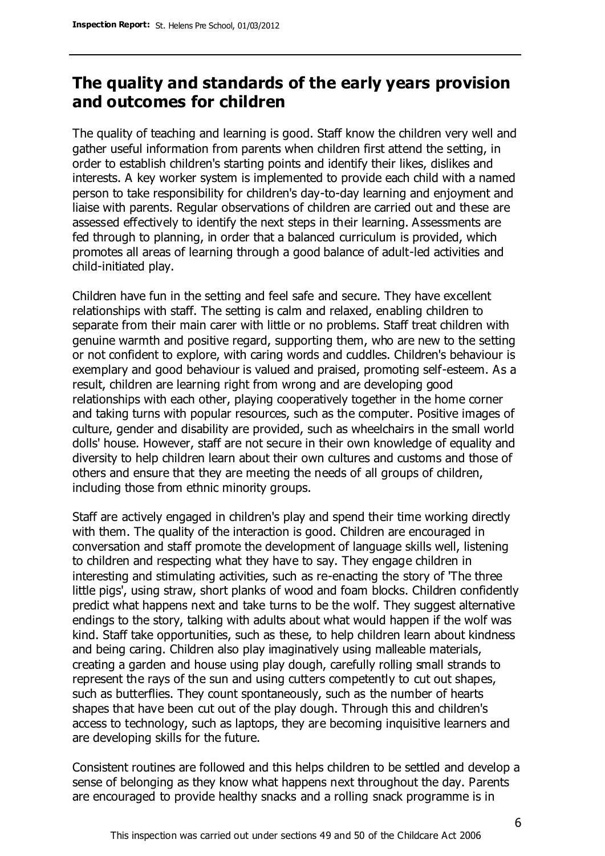## **The quality and standards of the early years provision and outcomes for children**

The quality of teaching and learning is good. Staff know the children very well and gather useful information from parents when children first attend the setting, in order to establish children's starting points and identify their likes, dislikes and interests. A key worker system is implemented to provide each child with a named person to take responsibility for children's day-to-day learning and enjoyment and liaise with parents. Regular observations of children are carried out and these are assessed effectively to identify the next steps in their learning. Assessments are fed through to planning, in order that a balanced curriculum is provided, which promotes all areas of learning through a good balance of adult-led activities and child-initiated play.

Children have fun in the setting and feel safe and secure. They have excellent relationships with staff. The setting is calm and relaxed, enabling children to separate from their main carer with little or no problems. Staff treat children with genuine warmth and positive regard, supporting them, who are new to the setting or not confident to explore, with caring words and cuddles. Children's behaviour is exemplary and good behaviour is valued and praised, promoting self-esteem. As a result, children are learning right from wrong and are developing good relationships with each other, playing cooperatively together in the home corner and taking turns with popular resources, such as the computer. Positive images of culture, gender and disability are provided, such as wheelchairs in the small world dolls' house. However, staff are not secure in their own knowledge of equality and diversity to help children learn about their own cultures and customs and those of others and ensure that they are meeting the needs of all groups of children, including those from ethnic minority groups.

Staff are actively engaged in children's play and spend their time working directly with them. The quality of the interaction is good. Children are encouraged in conversation and staff promote the development of language skills well, listening to children and respecting what they have to say. They engage children in interesting and stimulating activities, such as re-enacting the story of 'The three little pigs', using straw, short planks of wood and foam blocks. Children confidently predict what happens next and take turns to be the wolf. They suggest alternative endings to the story, talking with adults about what would happen if the wolf was kind. Staff take opportunities, such as these, to help children learn about kindness and being caring. Children also play imaginatively using malleable materials, creating a garden and house using play dough, carefully rolling small strands to represent the rays of the sun and using cutters competently to cut out shapes, such as butterflies. They count spontaneously, such as the number of hearts shapes that have been cut out of the play dough. Through this and children's access to technology, such as laptops, they are becoming inquisitive learners and are developing skills for the future.

Consistent routines are followed and this helps children to be settled and develop a sense of belonging as they know what happens next throughout the day. Parents are encouraged to provide healthy snacks and a rolling snack programme is in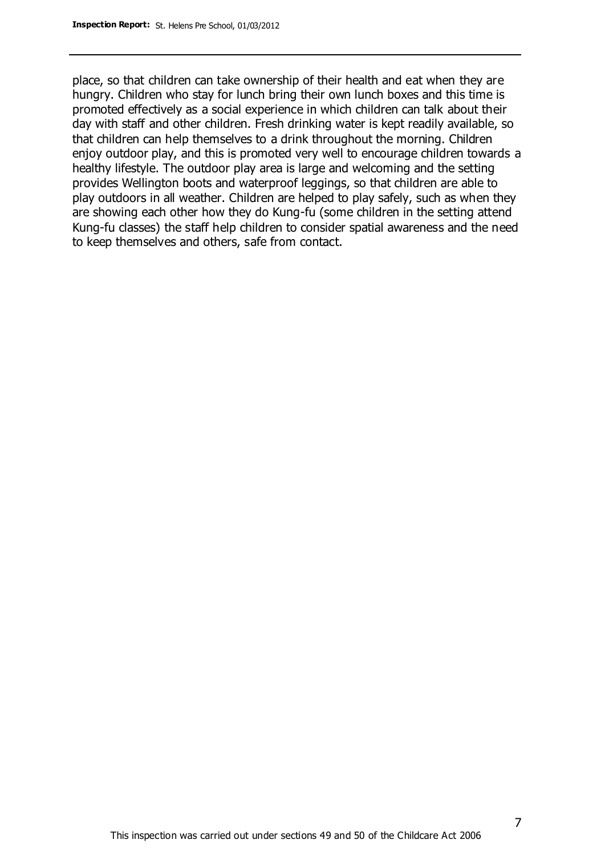place, so that children can take ownership of their health and eat when they are hungry. Children who stay for lunch bring their own lunch boxes and this time is promoted effectively as a social experience in which children can talk about their day with staff and other children. Fresh drinking water is kept readily available, so that children can help themselves to a drink throughout the morning. Children enjoy outdoor play, and this is promoted very well to encourage children towards a healthy lifestyle. The outdoor play area is large and welcoming and the setting provides Wellington boots and waterproof leggings, so that children are able to play outdoors in all weather. Children are helped to play safely, such as when they are showing each other how they do Kung-fu (some children in the setting attend Kung-fu classes) the staff help children to consider spatial awareness and the need to keep themselves and others, safe from contact.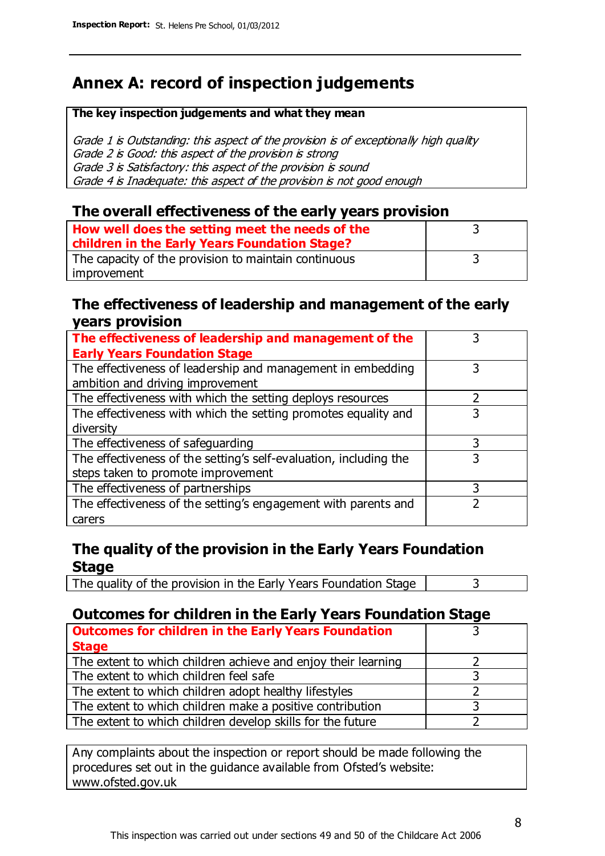# **Annex A: record of inspection judgements**

#### **The key inspection judgements and what they mean**

Grade 1 is Outstanding: this aspect of the provision is of exceptionally high quality Grade 2 is Good: this aspect of the provision is strong Grade 3 is Satisfactory: this aspect of the provision is sound Grade 4 is Inadequate: this aspect of the provision is not good enough

#### **The overall effectiveness of the early years provision**

| How well does the setting meet the needs of the      |  |
|------------------------------------------------------|--|
| children in the Early Years Foundation Stage?        |  |
| The capacity of the provision to maintain continuous |  |
| improvement                                          |  |

#### **The effectiveness of leadership and management of the early years provision**

| The effectiveness of leadership and management of the             |   |
|-------------------------------------------------------------------|---|
| <b>Early Years Foundation Stage</b>                               |   |
| The effectiveness of leadership and management in embedding       |   |
| ambition and driving improvement                                  |   |
| The effectiveness with which the setting deploys resources        |   |
| The effectiveness with which the setting promotes equality and    | 3 |
| diversity                                                         |   |
| The effectiveness of safeguarding                                 |   |
| The effectiveness of the setting's self-evaluation, including the | 3 |
| steps taken to promote improvement                                |   |
| The effectiveness of partnerships                                 | 3 |
| The effectiveness of the setting's engagement with parents and    |   |
| carers                                                            |   |

### **The quality of the provision in the Early Years Foundation Stage**

The quality of the provision in the Early Years Foundation Stage  $\vert$  3

## **Outcomes for children in the Early Years Foundation Stage**

| <b>Outcomes for children in the Early Years Foundation</b>    |  |
|---------------------------------------------------------------|--|
| <b>Stage</b>                                                  |  |
| The extent to which children achieve and enjoy their learning |  |
| The extent to which children feel safe                        |  |
| The extent to which children adopt healthy lifestyles         |  |
| The extent to which children make a positive contribution     |  |
| The extent to which children develop skills for the future    |  |

Any complaints about the inspection or report should be made following the procedures set out in the guidance available from Ofsted's website: www.ofsted.gov.uk